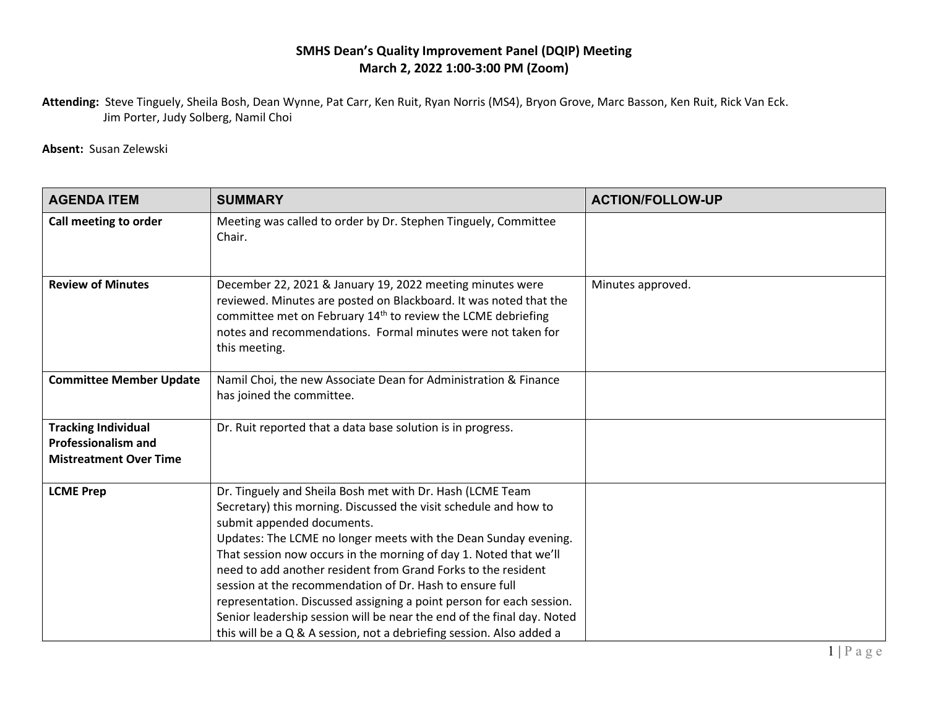## **SMHS Dean's Quality Improvement Panel (DQIP) Meeting March 2, 2022 1:00-3:00 PM (Zoom)**

**Attending:** Steve Tinguely, Sheila Bosh, Dean Wynne, Pat Carr, Ken Ruit, Ryan Norris (MS4), Bryon Grove, Marc Basson, Ken Ruit, Rick Van Eck. Jim Porter, Judy Solberg, Namil Choi

**Absent:** Susan Zelewski

| <b>AGENDA ITEM</b>                                                                        | <b>SUMMARY</b>                                                                                                                                                                                                                                                                                                                                                                                                                                                                                                                                                                                                                                             | <b>ACTION/FOLLOW-UP</b> |
|-------------------------------------------------------------------------------------------|------------------------------------------------------------------------------------------------------------------------------------------------------------------------------------------------------------------------------------------------------------------------------------------------------------------------------------------------------------------------------------------------------------------------------------------------------------------------------------------------------------------------------------------------------------------------------------------------------------------------------------------------------------|-------------------------|
| Call meeting to order                                                                     | Meeting was called to order by Dr. Stephen Tinguely, Committee<br>Chair.                                                                                                                                                                                                                                                                                                                                                                                                                                                                                                                                                                                   |                         |
| <b>Review of Minutes</b>                                                                  | December 22, 2021 & January 19, 2022 meeting minutes were<br>reviewed. Minutes are posted on Blackboard. It was noted that the<br>committee met on February 14 <sup>th</sup> to review the LCME debriefing<br>notes and recommendations. Formal minutes were not taken for<br>this meeting.                                                                                                                                                                                                                                                                                                                                                                | Minutes approved.       |
| <b>Committee Member Update</b>                                                            | Namil Choi, the new Associate Dean for Administration & Finance<br>has joined the committee.                                                                                                                                                                                                                                                                                                                                                                                                                                                                                                                                                               |                         |
| <b>Tracking Individual</b><br><b>Professionalism and</b><br><b>Mistreatment Over Time</b> | Dr. Ruit reported that a data base solution is in progress.                                                                                                                                                                                                                                                                                                                                                                                                                                                                                                                                                                                                |                         |
| <b>LCME Prep</b>                                                                          | Dr. Tinguely and Sheila Bosh met with Dr. Hash (LCME Team<br>Secretary) this morning. Discussed the visit schedule and how to<br>submit appended documents.<br>Updates: The LCME no longer meets with the Dean Sunday evening.<br>That session now occurs in the morning of day 1. Noted that we'll<br>need to add another resident from Grand Forks to the resident<br>session at the recommendation of Dr. Hash to ensure full<br>representation. Discussed assigning a point person for each session.<br>Senior leadership session will be near the end of the final day. Noted<br>this will be a Q & A session, not a debriefing session. Also added a |                         |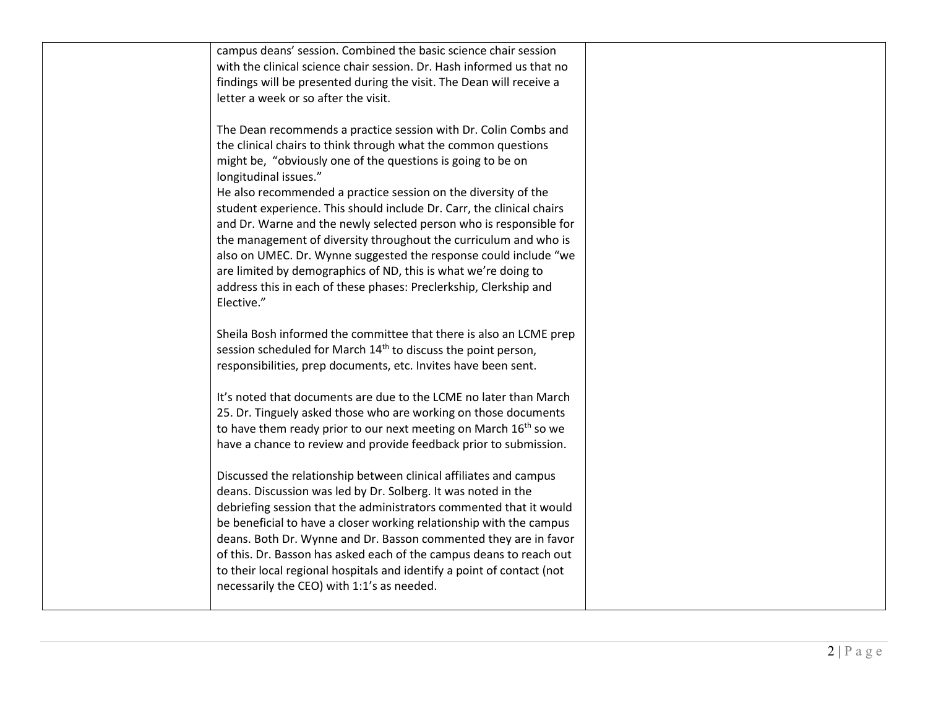| campus deans' session. Combined the basic science chair session<br>with the clinical science chair session. Dr. Hash informed us that no<br>findings will be presented during the visit. The Dean will receive a<br>letter a week or so after the visit.                                                                                                                                                                                                                                                                                                                                                                                                                                                                                |  |
|-----------------------------------------------------------------------------------------------------------------------------------------------------------------------------------------------------------------------------------------------------------------------------------------------------------------------------------------------------------------------------------------------------------------------------------------------------------------------------------------------------------------------------------------------------------------------------------------------------------------------------------------------------------------------------------------------------------------------------------------|--|
| The Dean recommends a practice session with Dr. Colin Combs and<br>the clinical chairs to think through what the common questions<br>might be, "obviously one of the questions is going to be on<br>longitudinal issues."<br>He also recommended a practice session on the diversity of the<br>student experience. This should include Dr. Carr, the clinical chairs<br>and Dr. Warne and the newly selected person who is responsible for<br>the management of diversity throughout the curriculum and who is<br>also on UMEC. Dr. Wynne suggested the response could include "we<br>are limited by demographics of ND, this is what we're doing to<br>address this in each of these phases: Preclerkship, Clerkship and<br>Elective." |  |
| Sheila Bosh informed the committee that there is also an LCME prep<br>session scheduled for March 14 <sup>th</sup> to discuss the point person,<br>responsibilities, prep documents, etc. Invites have been sent.                                                                                                                                                                                                                                                                                                                                                                                                                                                                                                                       |  |
| It's noted that documents are due to the LCME no later than March<br>25. Dr. Tinguely asked those who are working on those documents<br>to have them ready prior to our next meeting on March 16 <sup>th</sup> so we<br>have a chance to review and provide feedback prior to submission.                                                                                                                                                                                                                                                                                                                                                                                                                                               |  |
| Discussed the relationship between clinical affiliates and campus<br>deans. Discussion was led by Dr. Solberg. It was noted in the<br>debriefing session that the administrators commented that it would<br>be beneficial to have a closer working relationship with the campus<br>deans. Both Dr. Wynne and Dr. Basson commented they are in favor<br>of this. Dr. Basson has asked each of the campus deans to reach out<br>to their local regional hospitals and identify a point of contact (not<br>necessarily the CEO) with 1:1's as needed.                                                                                                                                                                                      |  |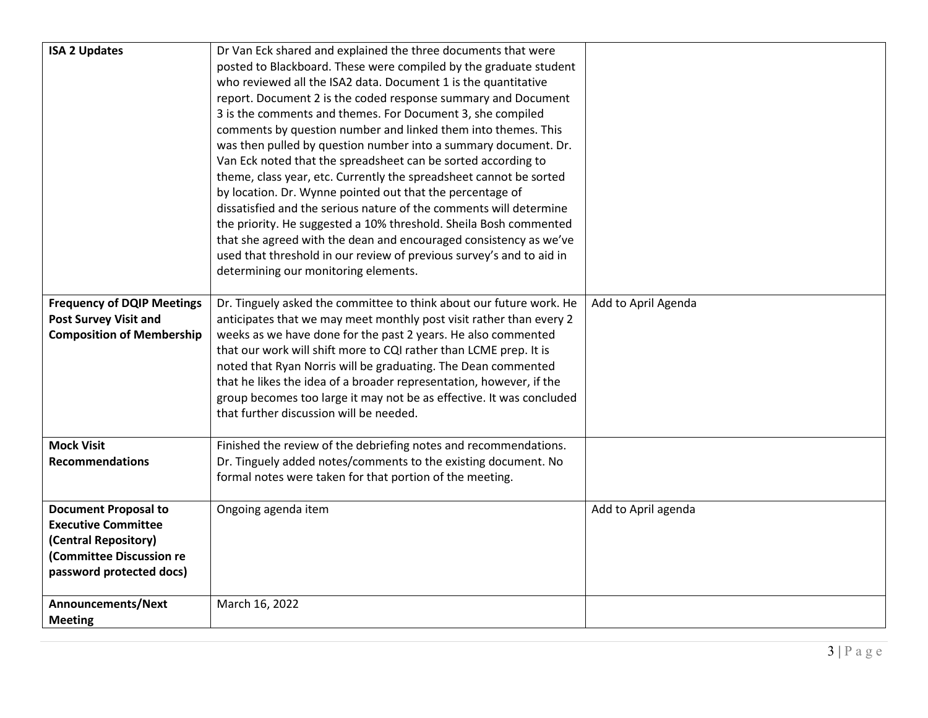| <b>ISA 2 Updates</b>              | Dr Van Eck shared and explained the three documents that were        |                     |
|-----------------------------------|----------------------------------------------------------------------|---------------------|
|                                   | posted to Blackboard. These were compiled by the graduate student    |                     |
|                                   | who reviewed all the ISA2 data. Document 1 is the quantitative       |                     |
|                                   | report. Document 2 is the coded response summary and Document        |                     |
|                                   | 3 is the comments and themes. For Document 3, she compiled           |                     |
|                                   | comments by question number and linked them into themes. This        |                     |
|                                   | was then pulled by question number into a summary document. Dr.      |                     |
|                                   | Van Eck noted that the spreadsheet can be sorted according to        |                     |
|                                   | theme, class year, etc. Currently the spreadsheet cannot be sorted   |                     |
|                                   | by location. Dr. Wynne pointed out that the percentage of            |                     |
|                                   | dissatisfied and the serious nature of the comments will determine   |                     |
|                                   | the priority. He suggested a 10% threshold. Sheila Bosh commented    |                     |
|                                   | that she agreed with the dean and encouraged consistency as we've    |                     |
|                                   | used that threshold in our review of previous survey's and to aid in |                     |
|                                   | determining our monitoring elements.                                 |                     |
|                                   |                                                                      |                     |
| <b>Frequency of DQIP Meetings</b> | Dr. Tinguely asked the committee to think about our future work. He  | Add to April Agenda |
| <b>Post Survey Visit and</b>      | anticipates that we may meet monthly post visit rather than every 2  |                     |
| <b>Composition of Membership</b>  | weeks as we have done for the past 2 years. He also commented        |                     |
|                                   | that our work will shift more to CQI rather than LCME prep. It is    |                     |
|                                   | noted that Ryan Norris will be graduating. The Dean commented        |                     |
|                                   | that he likes the idea of a broader representation, however, if the  |                     |
|                                   | group becomes too large it may not be as effective. It was concluded |                     |
|                                   | that further discussion will be needed.                              |                     |
| <b>Mock Visit</b>                 | Finished the review of the debriefing notes and recommendations.     |                     |
| <b>Recommendations</b>            | Dr. Tinguely added notes/comments to the existing document. No       |                     |
|                                   | formal notes were taken for that portion of the meeting.             |                     |
|                                   |                                                                      |                     |
| <b>Document Proposal to</b>       | Ongoing agenda item                                                  | Add to April agenda |
| <b>Executive Committee</b>        |                                                                      |                     |
| (Central Repository)              |                                                                      |                     |
| (Committee Discussion re          |                                                                      |                     |
| password protected docs)          |                                                                      |                     |
| Announcements/Next                | March 16, 2022                                                       |                     |
|                                   |                                                                      |                     |
| <b>Meeting</b>                    |                                                                      |                     |